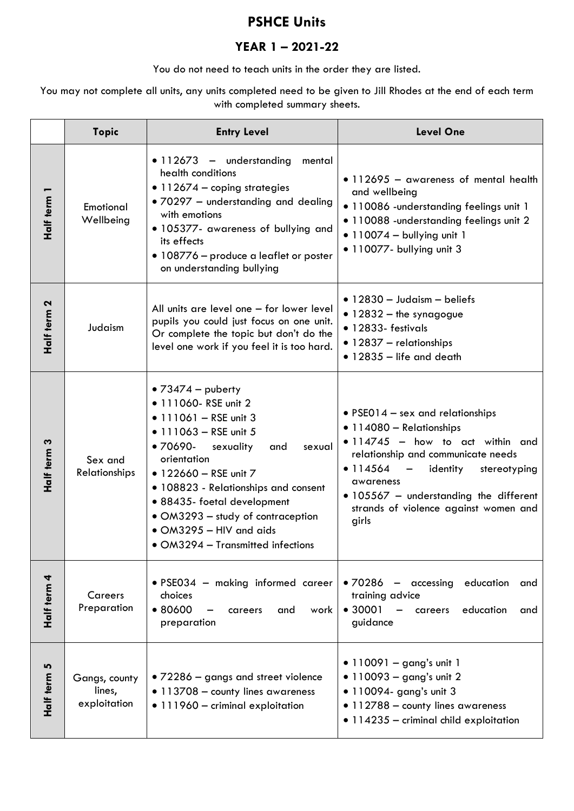## **PSHCE Units**

## **YEAR 1 – 2021-22**

You do not need to teach units in the order they are listed.

You may not complete all units, any units completed need to be given to Jill Rhodes at the end of each term with completed summary sheets.

|                | <b>Topic</b>                            | <b>Entry Level</b>                                                                                                                                                                                                                                                                                                                                                                   | <b>Level One</b>                                                                                                                                                                                                                                                                                                              |
|----------------|-----------------------------------------|--------------------------------------------------------------------------------------------------------------------------------------------------------------------------------------------------------------------------------------------------------------------------------------------------------------------------------------------------------------------------------------|-------------------------------------------------------------------------------------------------------------------------------------------------------------------------------------------------------------------------------------------------------------------------------------------------------------------------------|
| Half term 1    | Emotional<br>Wellbeing                  | $\bullet$ 112673 - understanding<br>mental<br>health conditions<br>• 112674 - coping strategies<br>· 70297 - understanding and dealing<br>with emotions<br>· 105377- awareness of bullying and<br>its effects<br>• 108776 - produce a leaflet or poster<br>on understanding bullying                                                                                                 | • 112695 - awareness of mental health<br>and wellbeing<br>· 110086 - understanding feelings unit 1<br>· 110088 - understanding feelings unit 2<br>$\bullet$ 110074 - bullying unit 1<br>• 110077- bullying unit 3                                                                                                             |
| Half term 2    | Judaism                                 | All units are level one - for lower level<br>pupils you could just focus on one unit.<br>Or complete the topic but don't do the<br>level one work if you feel it is too hard.                                                                                                                                                                                                        | $\bullet$ 12830 - Judaism - beliefs<br>$\bullet$ 12832 - the synagogue<br>• 12833- festivals<br>• 12837 - relationships<br>$\bullet$ 12835 - life and death                                                                                                                                                                   |
| Half term 3    | Sex and<br>Relationships                | • $73474 -$ puberty<br>• 111060- RSE unit 2<br>$\bullet$ 111061 - RSE unit 3<br>$\bullet$ 111063 - RSE unit 5<br>$•70690-$<br>sexuality<br>and<br>sexual<br>orientation<br>• 122660 - RSE unit 7<br>• 108823 - Relationships and consent<br>• 88435- foetal development<br>• OM3293 – study of contraception<br>$\bullet$ OM3295 - HIV and aids<br>• OM3294 - Transmitted infections | • PSE014 $-$ sex and relationships<br>• 114080 - Relationships<br>$\bullet$ 114745 - how to act within and<br>relationship and communicate needs<br>• 114564<br>identity<br>stereotyping<br>$\overline{\phantom{m}}$<br>awareness<br>· 105567 - understanding the different<br>strands of violence against women and<br>girls |
| 4<br>Half term | Careers<br>Preparation                  | · PSE034 - making informed career<br>choices<br>•80600<br>and<br>work<br>careers<br>preparation                                                                                                                                                                                                                                                                                      | · 70286 - accessing education<br>and<br>training advice<br>• 30001<br>education<br>$\overline{\phantom{m}}$<br>careers<br>and<br>guidance                                                                                                                                                                                     |
| 5<br>Half term | Gangs, county<br>lines,<br>exploitation | • 72286 – gangs and street violence<br>• 113708 - county lines awareness<br>• 111960 - criminal exploitation                                                                                                                                                                                                                                                                         | • 110091 - gang's unit 1<br>• $110093 - gang's unit 2$<br>• 110094- gang's unit 3<br>• 112788 - county lines awareness<br>· 114235 - criminal child exploitation                                                                                                                                                              |